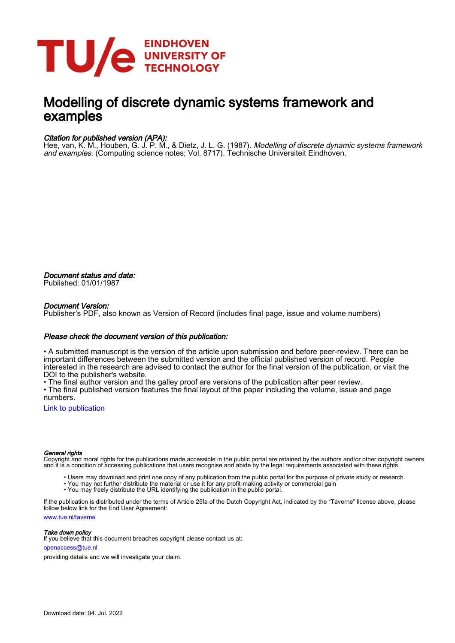

# Modelling of discrete dynamic systems framework and examples

### Citation for published version (APA):

Hee, van, K. M., Houben, G. J. P. M., & Dietz, J. L. G. (1987). *Modelling of discrete dynamic systems framework* and examples. (Computing science notes; Vol. 8717). Technische Universiteit Eindhoven.

Document status and date: Published: 01/01/1987

### Document Version:

Publisher's PDF, also known as Version of Record (includes final page, issue and volume numbers)

### Please check the document version of this publication:

• A submitted manuscript is the version of the article upon submission and before peer-review. There can be important differences between the submitted version and the official published version of record. People interested in the research are advised to contact the author for the final version of the publication, or visit the DOI to the publisher's website.

• The final author version and the galley proof are versions of the publication after peer review.

• The final published version features the final layout of the paper including the volume, issue and page numbers.

[Link to publication](https://research.tue.nl/en/publications/c89bdb39-2704-419e-aa2b-85837f4495a0)

#### General rights

Copyright and moral rights for the publications made accessible in the public portal are retained by the authors and/or other copyright owners and it is a condition of accessing publications that users recognise and abide by the legal requirements associated with these rights.

- Users may download and print one copy of any publication from the public portal for the purpose of private study or research.
- You may not further distribute the material or use it for any profit-making activity or commercial gain
- You may freely distribute the URL identifying the publication in the public portal.

If the publication is distributed under the terms of Article 25fa of the Dutch Copyright Act, indicated by the "Taverne" license above, please follow below link for the End User Agreement:

www.tue.nl/taverne

**Take down policy**<br>If you believe that this document breaches copyright please contact us at:

openaccess@tue.nl

providing details and we will investigate your claim.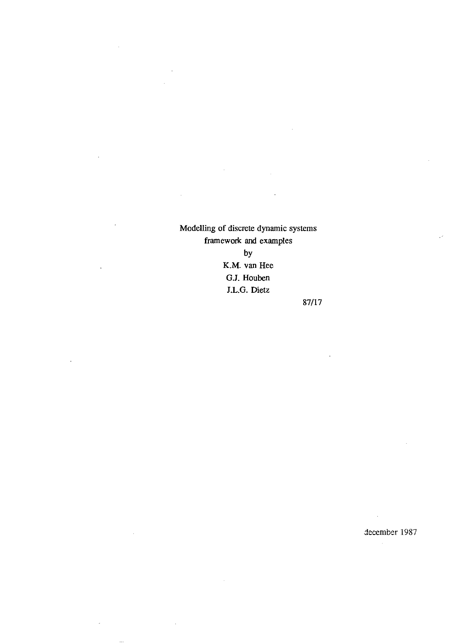Modelling of discrete dynamic systems framework and examples by

l.

 $\bar{z}$ 

 $\overline{\phantom{a}}$ 

 $\bar{\phantom{a}}$ 

K.M. van Hee G.l. Houben 1.L.G. Dietz

87/17

december 1987

 $\sim 10$ 

 $\hat{\mathcal{A}}$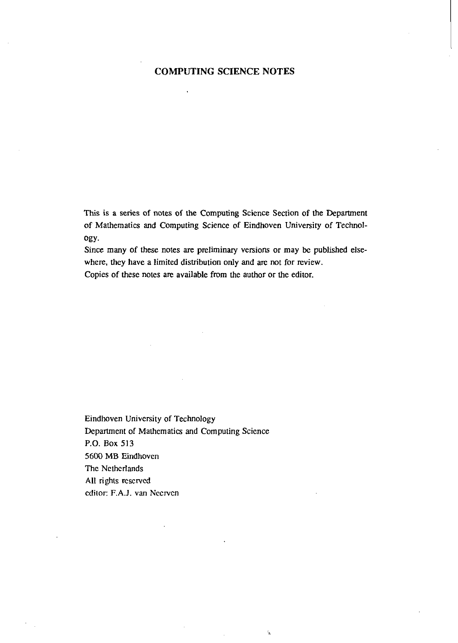# **COMPUTING SCIENCE NOTES**

 $\ddot{\phantom{a}}$ 

This is a series of notes of the Computing Science Section of the Department of Mathematics and Computing Science of Eindhoven University of Technology.

Since many of these notes are preliminary versions or may be published elsewhere, they have a limited distribution only and are not for review.

ţ.

Copies of these notes are available from the author or the editor.

Eindhoven University of Technology Department of Mathematics and Computing Science P.O. Box 513 5600 MB Eindhoven The Netherlands All rights reserved editor: F.A.J. van Necrvcn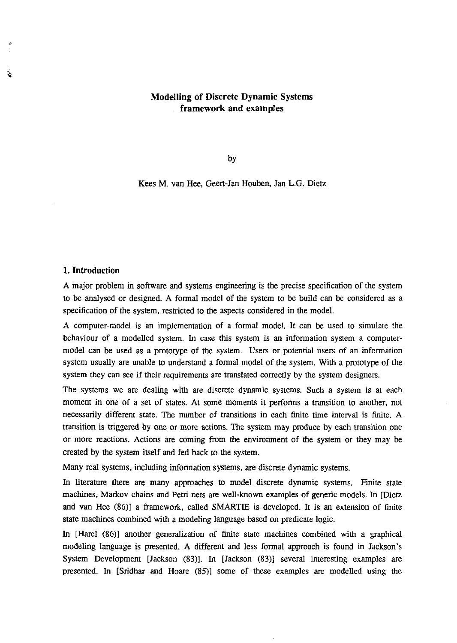# Modelling of Discrete Dynamic Systems framework and examples

by

Kees M. van Hee, Geen-Jan Houben, Jan L.G. Dietz

## 1. Introduction

**A** 

A major problem in software and systems engineering is the precise specification of the system to be analysed or designed. A formal model of the system to be build can be considered as a specification of the system, restricted to the aspects considered in the model.

A computer-model is an implementation of a formal model. It can be used to simulate the behaviour of a modelled system. In case this system is an information system a computermodel can be used as a prototype of the system. Users or potential users of an information system usually are unable to understand a formal model of the system. With a prototype of the system they can see if their requirements are translated correctly by the system designers.

The systems we are dealing with are discrete dynamic systems. Such a system is at each moment in one of a set of states. At some moments it performs a transition to another, not necessarily different state. The number of transitions in each finite time interval is finite. A transition is triggered by one or more actions. The system may produce by each transition one or more reactions. Actions are coming from the environment of the system or they may be created by the system itself and fed back to the system.

Many real systems, including information systems, are discrete dynamic systems.

In literature there are many approaches to model discrete dynamic systems. Finite state machines, Markov chains and Petri nets are well-known examples of generic models. In [Dietz and van Hee (86)] a framework, called SMARTIE is developed. It is an extension of finite state machines combined with a modeling language based on predicate logic.

In [Harel (86)] another generalization of finite state machines combined with a graphical modeling language is presented. A different and less formal approach is found in Jackson's System Development [Jackson (83)]. In [Jackson (83)] several interesting examples are presented. In [Sridhar and Hoare (85)] some of these examples are modelled using the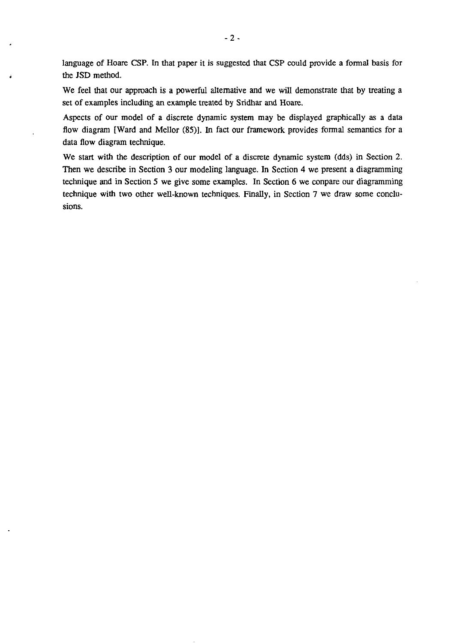language of Hoare CSP. In that paper it is suggested that CSP could provide a formal basis for the JSD method.

We feel that our approach is a powerful alternative and we will demonstrate that by treating a set of examples including an example treated by Sridhar and Hoare.

Aspects of our model of a discrete dynamic system may be displayed graphically as a data flow diagram [Ward and Mellor (85)]. In fact our framework provides formal semantics for a data flow diagram technique.

We start with the description of our model of a discrete dynamic system (dds) in Section 2. Then we describe in Section 3 our modeling language. In Section 4 we present a diagramming technique and in Section 5 we give some examples. In Section 6 we conpare our diagramming technique with two other well-known techniques. Finally, in Section 7 we draw some conclusions.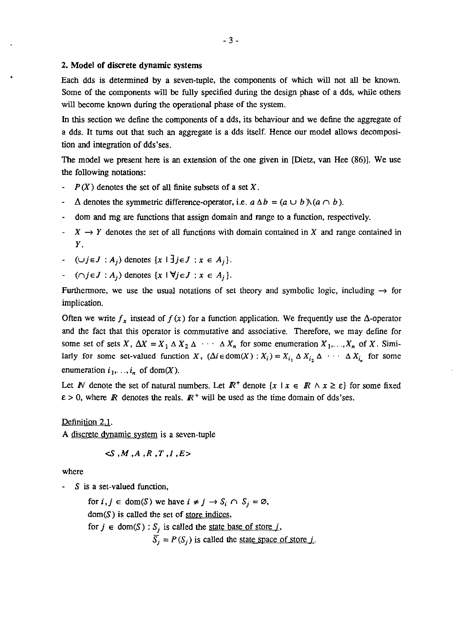### 2. Model of discrete dynamic systems

Each dds is determined by a seven-tuple, the components of which will not all be known. Some of the components will be fully specified during the design phase of a dds, while others will become known during the operational phase of the system.

In this section we define the components of a dds, its behaviour and we define the aggregate of a dds. It turns out that such an aggregate is a dds itself. Hence our model allows decomposition and integration of dds'ses.

The model we present here is an extension of the one given in [Dietz, van Hee (86)]. We use the following notations:

- $P(X)$  denotes the set of all finite subsets of a set X.
- $\Delta$  denotes the symmetric difference-operator, i.e.  $a \Delta b = (a \cup b) \setminus (a \cap b)$ .
- dom and mg are functions that assign domain and range to a function, respectively.
- $X \rightarrow Y$  denotes the set of all functions with domain contained in X and range contained in *Y.*
- $\cup j \in J : A_j$  denotes  $\{x \mid \exists j \in J : x \in A_j\}.$
- $\lnot \quad (\cap j \in J : A_j)$  denotes  $\{x \mid \forall j \in J : x \in A_j\}.$

Furthermore, we use the usual notations of set theory and symbolic logic, including  $\rightarrow$  for implication.

Often we write  $f_x$  instead of  $f(x)$  for a function application. We frequently use the  $\Delta$ -operator and the fact that this operator is commutative and associative. Therefore, we may define for some set of sets X,  $\Delta X = X_1 \Delta X_2 \Delta \cdots \Delta X_n$  for some enumeration  $X_1, \ldots, X_n$  of X. Similarly for some set-valued function X,  $(\Delta i \in \text{dom}(X) : X_i) = X_{i_1} \Delta X_{i_2} \Delta \cdots \Delta X_{i_n}$  for some enumeration  $i_1, \ldots, i_n$  of dom(X).

Let *IV* denote the set of natural numbers. Let  $\mathbb{R}^+$  denote  $\{x \mid x \in \mathbb{R} \land x \ge \varepsilon\}$  for some fixed  $\epsilon > 0$ , where *R* denotes the reals.  $R^+$  will be used as the time domain of dds'ses.

Definition 2.1. A discrete dynamic system is a seven-tuple

$$
\triangleleft S\;,M\;,A\;,R\;,T\;,I\;,E\!>
$$

where

 $S$  is a set-valued function,

for  $i, j \in \text{dom}(\mathcal{S})$  we have  $i \neq j \rightarrow S_i \cap S_j = \emptyset$ ,  $dom(S)$  is called the set of store indices, for  $j \in \text{dom}(S)$ :  $S_j$  is called the <u>state base of store j</u>,  $\overline{S}_i = P(S_i)$  is called the <u>state space of store j</u>.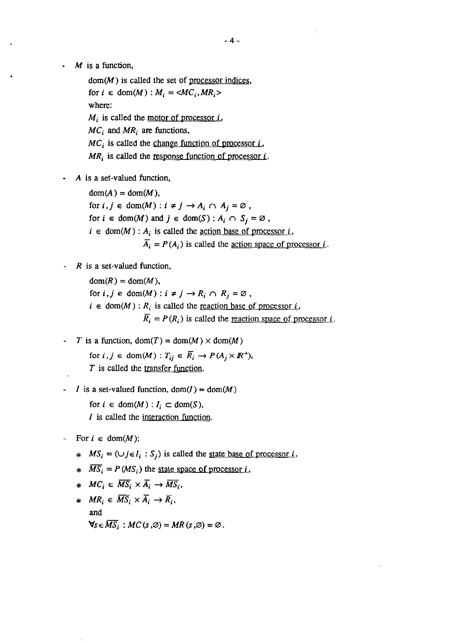$M$  is a function,

 $dom(M)$  is called the set of processor indices, for  $i \in \text{dom}(M)$  :  $M_i = \langle MC_i, MR_i \rangle$ where:  $M_i$  is called the motor of processor i,  $MC_i$  and  $MR_i$  are functions,  $MC_i$  is called the change function of processor i,  $MR_i$  is called the <u>response function of processor i</u>.

A is a set-valued function,

 $dom(A) = dom(M)$ , for  $i, j \in \text{dom}(M) : i \neq j \rightarrow A_i \cap A_j = \emptyset$ , for  $i \in \text{dom}(M)$  and  $j \in \text{dom}(S)$ :  $A_i \cap S_j = \emptyset$ ,  $i \in \text{dom}(M)$ : A<sub>i</sub> is called the <u>action base of processor i</u>,  $\overline{A_i} = P(A_i)$  is called the <u>action space of processor i</u>.

*R* is a set-valued function,

 $dom(R) = dom(M)$ , for  $i, j \in \text{dom}(M) : i \neq j \rightarrow R_i \cap R_j = \emptyset$ ,  $i \in \text{dom}(M)$ : R<sub>i</sub> is called the <u>reaction base of processor i</u>,  $\overline{R}_i = P(R_i)$  is called the <u>reaction space of processor *i*</u>.

- T is a function,  $dom(T) = dom(M) \times dom(M)$ for  $i, j \in \text{dom}(M)$ :  $T_{ij} \in \overline{R}_i \rightarrow P(A_j \times \mathbb{R}^+),$ *T* is called the transfer function.
- I is a set-valued function,  $dom(I) = dom(M)$

for  $i \in \text{dom}(M) : I_i \subset \text{dom}(S)$ , I is called the interaction function.

- For  $i \in \text{dom}(M)$ :
	- \*  $MS_i = (\bigcup j \in I_i : S_j)$  is called the <u>state base of processor *i*</u>,
	- \*  $\overline{MS}_i = P(MS_i)$  the state space of processor i,
	- \*  $MC_i \in \overline{MS_i} \times \overline{A_i} \rightarrow \overline{MS_i}$
	- \*  $MR_i \in \overline{MS}_i \times \overline{A}_i \rightarrow \overline{R}_i$ , and  $\forall s \in \overline{MS_i}$ :  $MC(s, \emptyset) = MR(s, \emptyset) = \emptyset$ .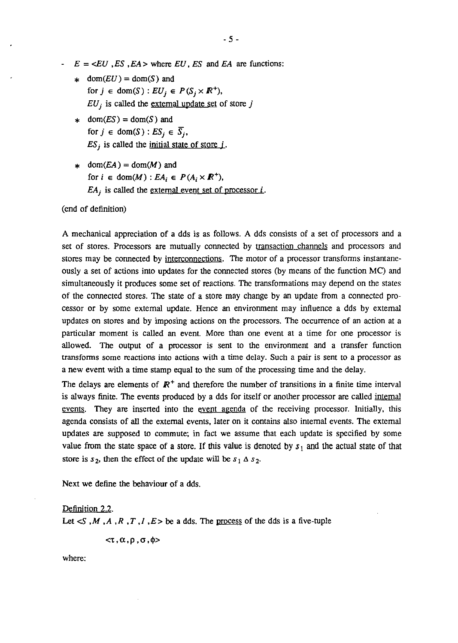$E = \langle EU, ES, EA \rangle$  where EU, ES and EA are functions:

- \* dom( $EU$ ) = dom(S) and for  $j \in \text{dom}(S) : EU_j \in P(S_j \times \mathbb{R}^+),$  $EU_j$  is called the external update set of store j
- \* dom $(ES) = dom(S)$  and for  $j \in \text{dom}(S)$ :  $ES_i \in \overline{S_i}$ ,  $ES_j$  is called the initial state of store *j*.
- \* dom $(EA) =$ dom $(M)$  and for  $i \in \text{dom}(M)$  :  $EA_i \in P(A_i \times \mathbb{R}^+)$ ,  $EA_i$  is called the <u>external event set of processor i</u>.

(end of definition)

A mechanical appreciation of a dds is as follows. A dds consists of a set of processors and a set of stores. Processors are mutually connected by transaction channels and processors and stores may be connected by interconnections. The motor of a processor transforms instantaneously a set of actions into updates for the connected stores (by means of the function MC) and simultaneously it produces some set of reactions. The transformations may depend on the states of the connected stores. The state of a store may change by an update from a connected processor or by some external update. Hence an environment may influence a dds by external updates on stores and by imposing actions on the processors. The occurrence of an action at a particular moment is called an event. More than one event at a time for one processor is allowed. The output of a processor is sent to the environment and a transfer function transforms some reactions into actions with a time delay. Such a pair is sent to a processor as a new event with a time stamp equal to the sum of the processing time and the delay.

The delays are elements of  $\mathbb{R}^+$  and therefore the number of transitions in a finite time interval is always finite. The events produced by a dds for itself or another processor are called internal events. They are inserted into the event agenda of the receiving processor. Initially, this agenda consists of all the external events, later on it contains also internal events. The external updates are supposed to commute; in fact we assume that each update is specified by some value from the state space of a store. If this value is denoted by  $s_1$  and the actual state of that store is  $s_2$ , then the effect of the update will be  $s_1 \Delta s_2$ .

Next we define the behaviour of a dds.

### Definition 2.2.

Let  $\leq S$ , M, A, R, T, I, E be a dds. The process of the dds is a five-tuple

 $<$  $\tau$ ,  $\alpha$ ,  $\rho$ ,  $\sigma$ ,  $\phi$ >

where: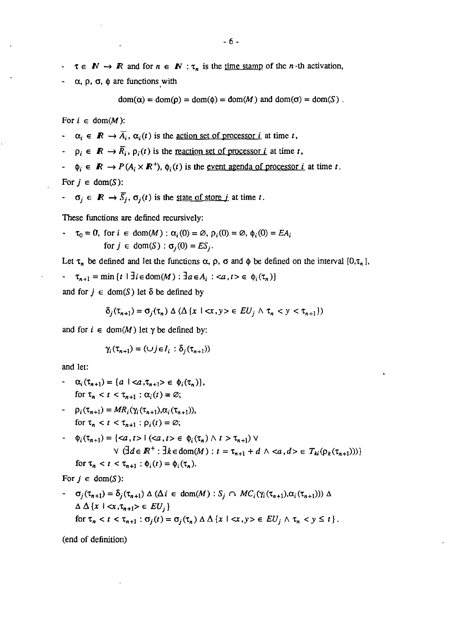- $\tau \in \mathbb{N} \to \mathbb{R}$  and for  $n \in \mathbb{N} : \tau_n$  is the <u>time stamp</u> of the *n*-th activation,
- $\alpha$ ,  $\rho$ ,  $\sigma$ ,  $\phi$  are functions with

$$
dom(\alpha) = dom(\rho) = dom(\phi) = dom(M) \text{ and } dom(\sigma) = dom(S) .
$$

For  $i \in \text{dom}(M)$ :

- $\alpha_i \in \mathbb{R} \rightarrow \overline{A_i}, \alpha_i(t)$  is the <u>action set of processor i</u> at time t,
- $\varphi_i \in \mathbb{R} \to \overline{R_i}$ ,  $\rho_i(t)$  is the <u>reaction set of processor *i*</u> at time *t*,
- $\Phi_i \in \mathbb{R} \to P(A_i \times \mathbb{R}^+)$ ,  $\phi_i(t)$  is the <u>event agenda of processor *i*</u> at time *t*.

For  $j \in \text{dom}(S)$ :

 $\sigma_i \in \mathbb{R} \to \overline{S_i}$ ,  $\sigma_i(t)$  is the <u>state of store *j*</u> at time *t*.

These functions are defined recursively:

$$
\tau_0 = 0, \text{ for } i \in \text{dom}(M) : \alpha_i(0) = \emptyset, \rho_i(0) = \emptyset, \phi_i(0) = EA_i
$$
  
for  $j \in \text{dom}(S) : \sigma_j(0) = ES_j$ .

Let  $\tau_n$  be defined and let the functions  $\alpha$ ,  $\rho$ ,  $\sigma$  and  $\phi$  be defined on the interval  $[0,\tau_n]$ , -  $\tau_{n+1} = \min \{ t \mid \exists i \in \text{dom}(M) : \exists a \in A_i : \langle a, t \rangle \in \phi_i(\tau_n) \}$ and for  $j \in \text{dom}(S)$  let  $\delta$  be defined by

$$
\delta_j(\tau_{n+1}) = \sigma_j(\tau_n) \wedge (\Delta \{x \mid \langle x, y \rangle \in EU_j \land \tau_n < y < \tau_{n+1}\})
$$

and for  $i \in \text{dom}(M)$  let  $\gamma$  be defined by:

$$
\gamma_i(\tau_{n+1}) = (\cup j \in I_i : \delta_j(\tau_{n+1}))
$$

and let:

- $\alpha_i(\tau_{n+1}) = \{a \mid \langle a, \tau_{n+1} \rangle \in \phi_i(\tau_n)\},$ for  $\tau_n < t < \tau_{n+1}$  :  $\alpha_i(t) = \emptyset$ ;
- *P<sub>i</sub>*  $(\tau_{n+1}) = MR_i(\gamma_i(\tau_{n+1}), \alpha_i(\tau_{n+1})),$ for  $\tau_n < t < \tau_{n+1}$ :  $\rho_i(t) = \emptyset$ ;
- $\cdot$   $\phi_i(\tau_{n+1}) = \{ \langle a, t \rangle \mid (\langle a, t \rangle \in \phi_i(\tau_n) \land t \rangle \tau_{n+1}) \lor$  $\forall$   $(\exists d \in \mathbb{R}^+ : \exists k \in dom(M) : t = \tau_{n+1} + d \land \langle a, d \rangle \in T_{ki}(p_k(\tau_{n+1})))$ for  $\tau_n < t < \tau_{n+1}$ :  $\phi_i(t) = \phi_i(\tau_n)$ .

For  $j \in \text{dom}(S)$ :

-  $\sigma_j(\tau_{n+1}) = \delta_j(\tau_{n+1}) \Delta (\Delta i \in \text{dom}(M) : S_j \cap MC_i(\gamma_i(\tau_{n+1}), \alpha_i(\tau_{n+1}))) \Delta$  $\Delta \Delta \{x \mid \langle x, \tau_{n+1} \rangle \in EU_i\}$ for  $\tau_n < t < \tau_{n+1}$ :  $\sigma_j(t) = \sigma_j(\tau_n) \Delta \Delta \{x \mid \langle x, y \rangle \in EU_j \wedge \tau_n < y \leq t\}.$ 

(end of definition)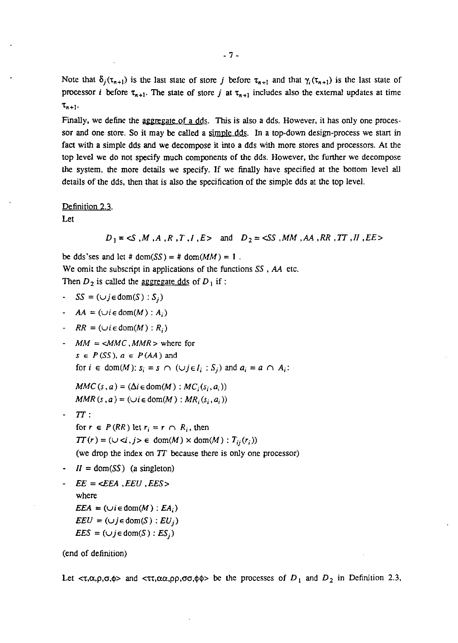Note that  $\delta_i(\tau_{n+1})$  is the last state of store j before  $\tau_{n+1}$  and that  $\gamma_i(\tau_{n+1})$  is the last state of processor *i* before  $\tau_{n+1}$ . The state of store *j* at  $\tau_{n+1}$  includes also the external updates at time  $\tau_{n+1}$ .

Finally, we define the aggregate of a dds. This is also a dds. However, it has only one processor and one store. So it may be called a simple dds. In a top-down design-process we start in fact with a simple dds and we decompose it into a dds with more stores and processors. At the top level we do not specify much components of the dds. However, the further we decompose the system, the more details we specify. If we finally have specified at the bottom level all details of the dds, then that is also the specification of the simple dds at the top level.

### Definition 2.3.

Let

 $D_1 = \leq S$ , M, A, R, T, I, E> and  $D_2 = \leq S$ , MM, AA, RR, TT, II, EE>

be dds'ses and let #  $dom(SS) = # dom(MM) = 1$ . We omit the subscript in applications of the functions  $SS$ ,  $AA$  etc. Then  $D_2$  is called the <u>aggregate dds</u> of  $D_1$  if :

$$
\text{- } SS = (\cup j \in \text{dom}(S) : S_j)
$$

- $AA = (\cup i \in \text{dom}(M): A_i)$
- $RR = (\cup i \in \text{dom}(M) : R_i)$
- $MM = \angle MMC$ ,  $MMR$  > where for  $s \in P(SS)$ ,  $a \in P(AA)$  and for  $i \in \text{dom}(M)$ :  $s_i = s \cap (\cup j \in I_i : S_i)$  and  $a_i = a \cap A_i$ :

 $MMC(s, a) = (\Delta i \in \text{dom}(M) : MC_i(s_i, a_i))$  $MMR(s, a) = (\cup i \in \text{dom}(M) : MR_i(s_i, a_i))$ 

- $TT:$ for  $r \in P(RR)$  let  $r_i = r \cap R_i$ , then  $TT(r) = (\cup \{i, j\} \in \text{dom}(M) \times \text{dom}(M): T_{ii}(r_i))$ (we drop the index on TT because there is only one processor)
- $\cdot$   $I = \text{dom}(SS)$  (a singleton)

$$
EE = \langle EEA, EEU, EES \rangle
$$
  
where  

$$
EEA = (\cup i \in \text{dom}(M) : EA_i)
$$
  

$$
EEU = (\cup j \in \text{dom}(S) : EU_j)
$$
  

$$
EES = (\cup j \in \text{dom}(S) : ES_j)
$$

(end of definition)

Let  $\langle \tau, \alpha, \rho, \sigma, \phi \rangle$  and  $\langle \tau, \alpha, \alpha, \rho \rho, \sigma, \phi \rangle$  be the processes of  $D_1$  and  $D_2$  in Definition 2.3,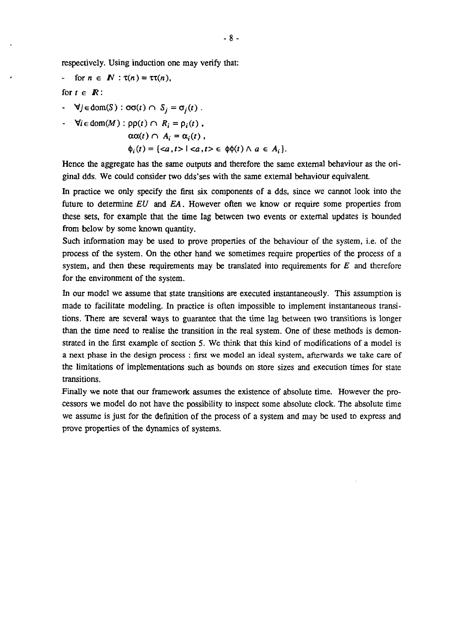respectively. Using induction one may verify that:

for 
$$
n \in \mathbb{N}
$$
:  $\tau(n) = \tau \tau(n)$ ,

for  $t \in \mathbb{R}$ :

 $\forall j \in \text{dom}(S) : \sigma\sigma(t) \cap S_j = \sigma_j(t)$ .

$$
\forall i \in \text{dom}(M) : \text{pp}(t) \cap R_i = \rho_i(t),
$$
  
\n
$$
\alpha \alpha(t) \cap A_i = \alpha_i(t),
$$
  
\n
$$
\phi_i(t) = \{ \langle a, t \rangle \mid \langle a, t \rangle \in \phi(t) \} \land a \in A_i \}.
$$

Hence the aggregate has the same outputs and therefore the same external behaviour as the original dds. We could consider two dds'ses with the same external behaviour equivalent

In practice we only specify the first six components of a dds, since we cannot look into the future to determine  $EU$  and  $EA$ . However often we know or require some properties from these sets, for example that the time lag between two events or external updates is bounded from below by some known quantity.

Such information may be used to prove properties of the behaviour of the system, i.e. of the process of the system. On the other hand we sometimes require properties of the process of a system, and then these requirements may be translated into requirements for  $E$  and therefore for the environment of the system.

In our model we assume that state transitions are executed instantaneously. This assumption is made to facilitate modeling. **In** practice is often impossible to implement instantaneous transitions. There are several ways to guarantee that the time lag between two transitions is longer than the time need to realise the transition in the real system. One of these methods is demonstrated in the first example of section S. We think that this kind of modifications of a model is a next phase in the design process : first we model an ideal system, afterwards we take care of the limitations of implementations such as bounds on store sizes and execution times for state transitions.

Finally we note that our framework assumes the existence of absolute time. However the processors we model do not have the possibility to inspect some absolute clock. The absolute time we assume is just for the definition of the process of a system and may be used to express and prove properties of the dynamics of systems.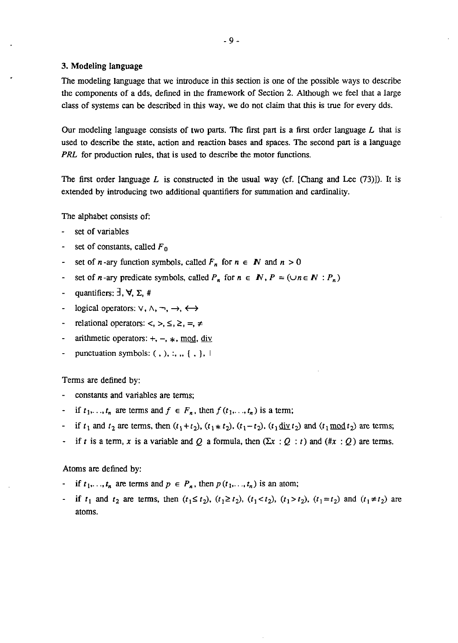### 3. Modeling language

The modeling language that we introduce in this section is one of the possible ways to describe the components of a dds. defined in the framework of Section 2. Although we feel that a large class of systems can be described in this way. we do not claim that this is true for every dds.

Our modeling language consists of two parts. The first part is a first order language  $L$  that is used to describe the state, action and reaction bases and spaces. The second part is a language *PRL* for production rules, that is used to describe the motor functions.

The first order language L is constructed in the usual way (cf. [Chang and Lee  $(73)$ ]). It is extended by introducing two additional quantifiers for summation and cardinality.

The alphabet consists of:

- set of variables
- set of constants. called *F* <sup>0</sup>  $\sim$
- set of *n*-ary function symbols, called  $F_n$  for  $n \in \mathbb{N}$  and  $n > 0$
- set of *n*-ary predicate symbols, called  $P_n$  for  $n \in \mathbb{N}$ ,  $P = (\cup n \in \mathbb{N} : P_n)$
- quantifiers:  $\exists$ ,  $\forall$ ,  $\Sigma$ , #  $\sim$
- logical operators:  $\vee$ ,  $\wedge$ ,  $\neg$ ,  $\leftrightarrow$
- relational operators:  $\lt$ ,  $\gt$ ,  $\leq$ ,  $\geq$ ,  $\Leftarrow$  $\Delta \sim 10$
- arithmetic operators:  $+$ ,  $-$ ,  $*$ , mod, div
- punctuation symbols:  $( , ), : , , { } \{ , \}$ .

Terms are defined by:

- constants and variables are terms;
- if  $t_1, \ldots, t_n$  are terms and  $f \in F_n$ , then  $f(t_1, \ldots, t_n)$  is a term;
- if  $t_1$  and  $t_2$  are terms, then  $(t_1+t_2)$ ,  $(t_1*t_2)$ ,  $(t_1-t_2)$ ,  $(t_1\underline{\text{div}}\, t_2)$  and  $(t_1\underline{\text{mod}}\, t_2)$  are terms;
- if *t* is a term, x is a variable and O a formula, then  $(\Sigma x : Q : t)$  and  $(\# x : Q)$  are terms.

### Atoms are defined by:

- if  $t_1, \ldots, t_n$  are terms and  $p \in P_n$ , then  $p(t_1, \ldots, t_n)$  is an atom;
- if  $t_1$  and  $t_2$  are terms, then  $(t_1 \le t_2)$ ,  $(t_1 \ge t_2)$ ,  $(t_1 < t_2)$ ,  $(t_1 > t_2)$ ,  $(t_1 = t_2)$  and  $(t_1 \ne t_2)$  are atoms.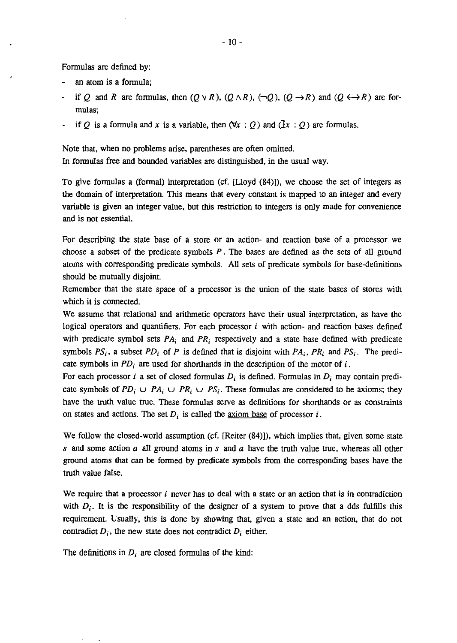Formulas are defined by:

- an atom is a fonnula;
- if Q and R are formulas, then  $(Q \vee R)$ ,  $(Q \wedge R)$ ,  $(\neg Q)$ ,  $(Q \rightarrow R)$  and  $(Q \leftrightarrow R)$  are formulas;
- if *Q* is a formula and *x* is a variable, then  $(\forall x : Q)$  and  $(\exists x : Q)$  are formulas.

Note that. when no problems arise. parentheses are often omitted. In fonnulas free and bounded variables are distinguished. in the usual way.

To give fonnulas a (fonnal) interpretation (cf. [Uoyd (84)]). we choose the set of integers as the domain of interpretation. This means that every constant is mapped to an integer and every variable is given an integer value. but this restriction to integers is only made for convenience and is not essential.

For describing the state base of a store or an action- and reaction base of a processor we choose a subset of the predicate symbols  $P$ . The bases are defined as the sets of all ground atoms with corresponding predicate symbols. All sets of predicate symbols for base-definitions should be mutually disjoint.

Remember that the state space of a processor is the union of the state bases of stores with which it is connected.

We assume that relational and arithmetic operators have their usual interpretation. as have the logical operators and quantifiers. For each processor  $i$  with action- and reaction bases defined with predicate symbol sets  $PA_i$  and  $PR_i$  respectively and a state base defined with predicate symbols  $PS_i$ , a subset  $PD_i$  of  $P$  is defined that is disjoint with  $PA_i$ ,  $PR_i$  and  $PS_i$ . The predicate symbols in  $PD_i$  are used for shorthands in the description of the motor of i.

For each processor *i* a set of closed formulas  $D_i$  is defined. Formulas in  $D_i$  may contain predicate symbols of  $PD_i \cup PA_i \cup PR_i \cup PS_i$ . These formulas are considered to be axioms; they have the truth value true. These fonnulas serve as definitions for shorthands or as constraints on states and actions. The set  $D_i$  is called the <u>axiom base</u> of processor i.

We follow the closed-world assumption (cf. [Reiter  $(84)$ ]), which implies that, given some state s and some action *a* all ground atoms in s and *a* have the truth value true. whereas all other ground atoms that can be fonned by predicate symbols from the corresponding bases have the truth value false.

We require that a processor  $\hat{i}$  never has to deal with a state or an action that is in contradiction with  $D_i$ . It is the responsibility of the designer of a system to prove that a dds fulfills this requirement. Usually. this is done by showing that, given a state and an action. that do not contradict  $D_i$ , the new state does not contradict  $D_i$  either.

The definitions in  $D_i$  are closed formulas of the kind: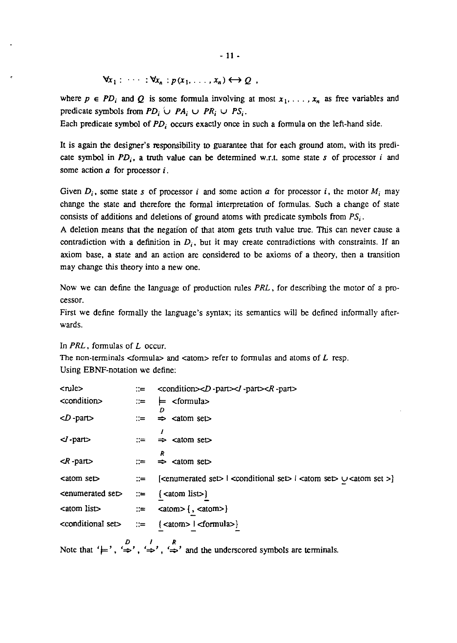where  $p \in PD_i$  and *Q* is some formula involving at most  $x_1, \ldots, x_n$  as free variables and predicate symbols from  $PD_i \cup PA_i \cup PR_i \cup PS_i$ .

Each predicate symbol of PD<sub>i</sub> occurs exactly once in such a formula on the left-hand side.

It is again the designer's responsibility to guarantee that for each ground atom, with its predicate symbol in  $PD_i$ , a truth value can be determined w.r.t. some state *s* of processor *i* and some action *a* for processor j.

Given  $D_i$ , some state *s* of processor *i* and some action *a* for processor *i*, the motor  $M_i$  may change the state and therefore the fonnal interpretation of fonnulas. Such a change of state consists of additions and deletions of ground atoms with predicate symbols from  $PS_i$ .

A deletion means that the negation of that atom gets truth value true. This can never cause a contradiction with a definition in  $D_i$ , but it may create contradictions with constraints. If an axiom base, a state and an action are considered to be axioms of a theory. then a transition may change this theory into a new one.

Now we can define the language of production rules *PRL,* for describing the motor of a processor.

First we define fonnally the language's syntax; its semantics will be defined infonnally afterwards.

In *PRL,* fonnuIas of *L* occur.

The non-terminals  $\leq$  formula $\geq$  and  $\leq$  atom $\geq$  refer to formulas and atoms of  $L$  resp. Using EBNF-notation we define:

| <rule></rule>                                                                                                                                                                           | $\equiv$ <condition><d -part=""><i -part=""><r -part=""></r></i></d></condition>                                                                                   |
|-----------------------------------------------------------------------------------------------------------------------------------------------------------------------------------------|--------------------------------------------------------------------------------------------------------------------------------------------------------------------|
| <condition></condition>                                                                                                                                                                 | $\equiv$ $\models$ <formula></formula>                                                                                                                             |
| $\langle D \text{-part} \rangle$                                                                                                                                                        | $\Rightarrow$ <atom set=""></atom>                                                                                                                                 |
| $\langle$ -part $\rangle$                                                                                                                                                               |                                                                                                                                                                    |
| $\langle R$ -part $\rangle$                                                                                                                                                             | к<br>$\Rightarrow$ <atom set=""></atom>                                                                                                                            |
| <atom set=""></atom>                                                                                                                                                                    | $\therefore$ [ <enumerated set="">   <conditional set="">   <atom set=""> <math>\cup</math> <atom set=""> <math>\}</math></atom></atom></conditional></enumerated> |
| $\epsilon$ <enumerated <math="" set="">\epsilon = <math>\{\epsilon</math> (<math>\epsilon</math> = <math>\{\epsilon</math> (<math>\epsilon</math> = <math>\epsilon</math>)</enumerated> |                                                                                                                                                                    |
| $\text{catom list}$ := $\text{catom} > \{ , \text{catom} > \}$                                                                                                                          |                                                                                                                                                                    |
|                                                                                                                                                                                         | <conditional set=""> ::= {<atom>   <formula>}</formula></atom></conditional>                                                                                       |
|                                                                                                                                                                                         | Note that ' $\models$ ', ' $\Rightarrow$ ', ' $\Rightarrow$ ', ' $\Rightarrow$ ', and the underscored symbols are terminals.                                       |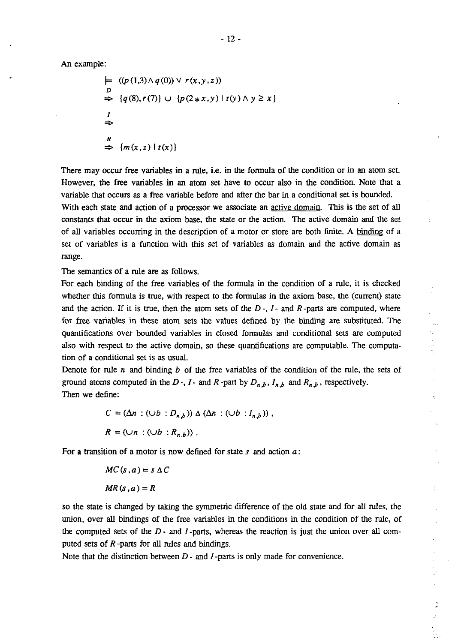An example:

$$
\begin{aligned}\n&\models \quad & ((p(1,3) \land q(0)) \lor r(x,y,z)) \\
&\Rightarrow \quad & \{q(8), r(7)\} \cup \{p(2*x,y) \mid t(y) \land y \geq x\} \\
&\Rightarrow \\
&\Rightarrow \\
&\stackrel{R}{\Rightarrow} \{m(x,z) \mid t(x)\}\n\end{aligned}
$$

There may occur free variables in a rule, i.e. in the formula of the condition or in an atom set. However, the free variables in an atom set have to occur also in the condition. Note that a variable that occurs as a free variable before and after the bar in a conditional set is bounded. With each state and action of a processor we associate an active domain. This is the set of all

constants that occur in the axiom base, the state or the action. The active domain and the set of all variables occurring in the description of a motor or store are both finite. A binding of a set of variables is a function with this set of variables as domain and the active domain as range.

The semantics of a rule are as follows.

For each binding of the free variables of the formula in the condition of a rule, it is checked whether this formula is true, with respect to the formulas in the axiom base, the (current) state and the action. If it is true, then the atom sets of the *D* -, *I* - and *R* -parts are computed, where for free variables in these atom sets the values defined by the binding are substituted. The quantifications over bounded variables in closed formulas and conditional sets are computed also with respect to the active domain, so these quantifications are computable. The computation of a conditional set is as usual.

Denote for rule *n* and binding *b* of the free variables of the condition of the rule, the sets of ground atoms computed in the *D* -, *I* - and *R* -part by  $D_{n,b}$ ,  $I_{n,b}$  and  $R_{n,b}$ , respectively. Then we define:

$$
C = (\Delta n : (\cup b : D_{n,b})) \triangle (\Delta n : (\cup b : I_{n,b}))
$$
\n
$$
R = (\cup n : (\cup b : R_{n,b}))
$$

For a transition of a motor is now defined for state *s* and action *a:* 

$$
MC(s, a) = s \Delta C
$$

$$
MR(s, a) = R
$$

so the state is changed by taking the symmetric difference of the old state and for all rules, the union, over all bindings of the free variables in the conditions in the condition of the rule, of the computed sets of the *D* - and *I* -parts, whereas the reaction is just the union over all computed sets of *R* -parts for all rules and bindings.

Note that the distinction between *D* - and *I* -parts is only made for convenience.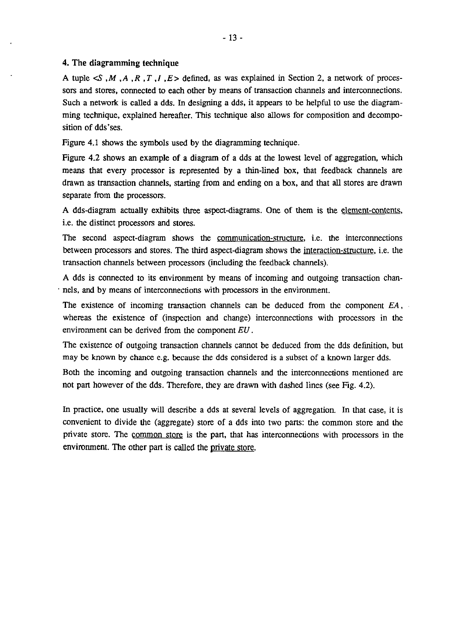### 4. The diagramming technique

A tuple  $\leq S$ , M, A, R, T, I, E is defined, as was explained in Section 2, a network of processors and stores, connected to each other by means of transaction channels and interconnections. Such a network is called a dds. In designing a dds, it appears to be helpful to use the diagramming technique, explained hereafter. This technique also allows for composition and decomposition of dds'ses.

Figure 4.1 shows the symbols used by the diagramming technique.

Figure 4.2 shows an example of a diagram of a dds at the lowest level of aggregation, which means that every processor is represented by a thin-lined box, that feedback channels are drawn as transaction channels, starting from and ending on a box, and that all stores are drawn separate from the processors.

A dds-diagram actually exhibits three aspect-diagrams. One of them is the element-contents, i.e. the distinct processors and stores.

The second aspect-diagram shows the communication-structure, i.e. the interconnections between processors and stores. The third aspect-diagram shows the interaction-structure, i.e. the transaction channels between processors (including the feedback channels).

A dds is connected to its environment by means of incoming and outgoing transaction chan- . nels, and by means of interconnections with processors in the environment.

The existence of incoming transaction channels can be deduced from the component EA, whereas the existence of (inspection and change) interconnections with processors in the environment can be derived from the component EU.

The existence of outgoing transaction channels cannot be deduced from the dds definition, but may be known by chance e.g. because the dds considered is a subset of a known larger dds.

Both the incoming and outgoing transaction channels and the interconnections mentioned are not part however of the dds. Therefore, they are drawn with dashed lines (see Fig. 4.2).

In practice, one usually will describe a dds at several levels of aggregation. In that case, it is convenient to divide the (aggregate) store of a dds into two parts: the common store and the private store. The common store is the part, that has interconnections with processors in the environment. The other part is called the private store.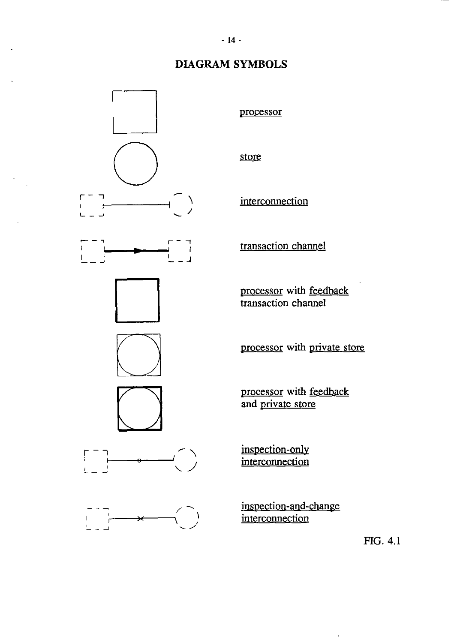# **DIAGRAM SYMBOLS**



 $\ddot{\phantom{a}}$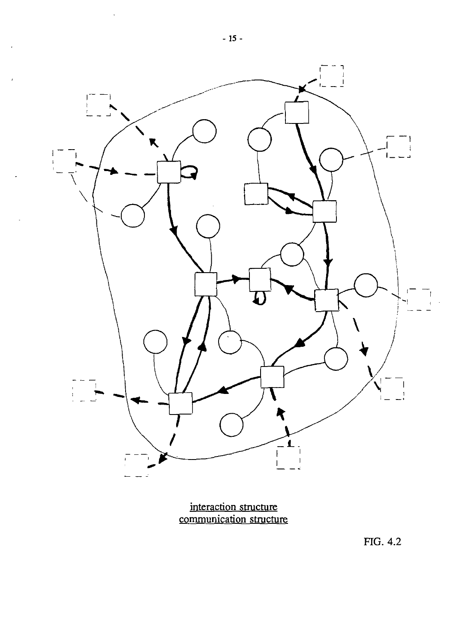

**interaction structure communication structure** 

FIG. 4.2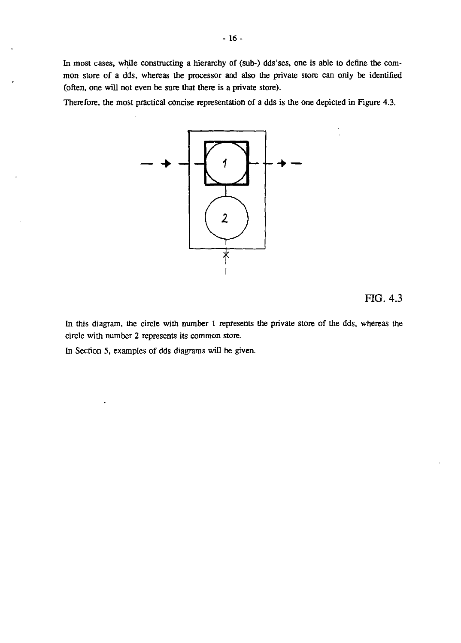In most cases, while constructing a hierarchy of (sub-) dds'ses, one is able to define the common store of a dds, whereas the processor and also the private store can only be identified (often, one will not even be sure that there is a private store).

Therefore, the most practical concise representation of a dds is the one depicted in Figure 4.3.



FIG. 4.3

In this diagram, the circle with number 1 represents the private store of the dds, whereas the circle with number 2 represents its common store.

In Section 5, examples of dds diagrams will be given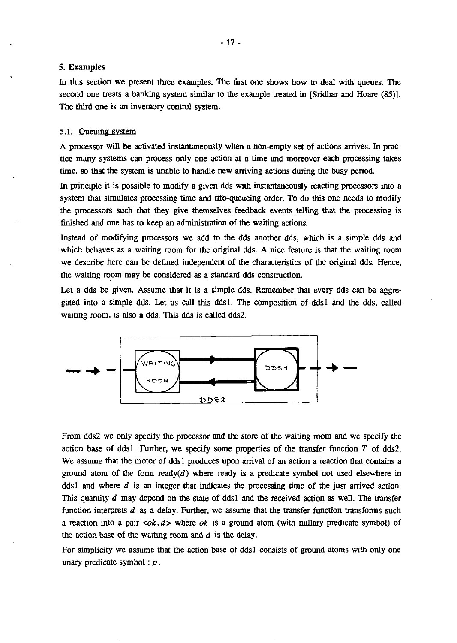### S. Examples

In this section we present three examples. The first one shows how to deal with queues. The second one treats a banking system similar to the example treated in [Sridhar and Hoare (85)]. The third one is an inventory control system.

### 5.1. Queuing system

A processor will be activated instantaneously when a non-empty set of actions arrives. In practice many systems can process only one action at a time and moreover each processing takes time, so that the system is unable to handle new arriving actions during the busy period.

In principle it is possible to modify a given dds with instantaneously reacting processors into a system that simulates processing time and fifo-queueing order. To do this one needs to modify the processors such that they give themselves feedback events telling that the processing is finished and one has to keep an administration of the waiting actions.

Instead of modifying processors we add to the dds another dds, which is a simple dds and which behaves as a waiting room for the original dds. A nice feature is that the waiting room we describe here can be defined independent of the characteristics of the original dds. Hence, the waiting room may be considered as a standard dds construction.

Let a dds be given. Assume that it is a simple dds. Remember that every dds can be aggregated into a simple dds. Let us call this ddsl. The composition of ddsl and the dds, called waiting room, is also a dds. This dds is called dds2.



From dds2 we only specify the processor and the store of the waiting room and we specify the action base of dds I. Further, we specify some properties of the transfer function *T* of dds2. We assume that the motor of ddsl produces upon arrival of an action a reaction that contains a ground atom of the form ready( $d$ ) where ready is a predicate symbol not used elsewhere in dds I and where  $d$  is an integer that indicates the processing time of the just arrived action. This quantity *d* may depend on the state of ddsl and the received action as well. The transfer function interprets d as a delay. Further, we assume that the transfer function transforms such a reaction into a pair  $\langle \alpha k, d \rangle$  where  $\alpha k$  is a ground atom (with nullary predicate symbol) of the action base of the waiting room and  $d$  is the delay.

For simplicity we assume that the action base of dds1 consists of ground atoms with only one unary predicate symbol:  $p$ .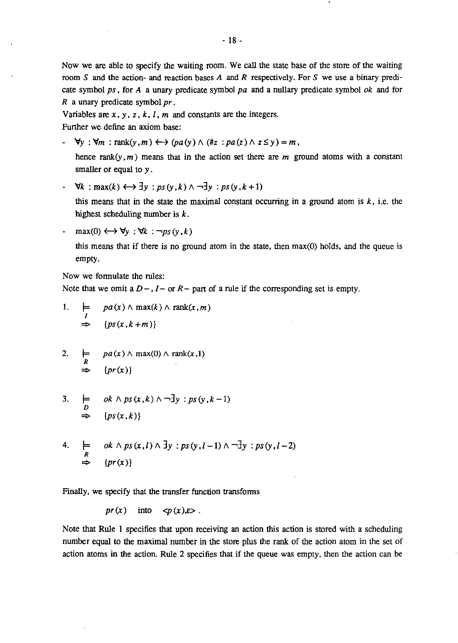Now we are able to specify the waiting room. We call the state base of the store of the waiting room S and the action- and reaction bases A and R respectively. For S we use a binary predicate symbol ps, for A a unary predicate symbol pa and a nullary predicate symbol  $ok$  and for *R* a unary predicate symbol pr .

Variables are  $x$ ,  $y$ ,  $z$ ,  $k$ ,  $l$ ,  $m$  and constants are the integers.

Further we define an axiom base:

 $\forall y : \forall m : \text{rank}(y,m) \longleftrightarrow (pa(y) \wedge (\#z : pa(z) \wedge z \leq y) = m,$ 

hence rank(y, m) means that in the action set there are m ground atoms with a constant smaller or equal to *y .* 

 $\forall k : \max(k) \longleftrightarrow \exists y : ps(y, k) \land \neg \exists y : ps(y, k+1)$ 

this means that in the state the maximal constant occurring in a ground atom is  $k$ , i.e. the highest scheduling number is  $k$ .

 $-$  max(0)  $\longleftrightarrow \forall y : \forall k : \neg ps(y, k)$ 

this means that if there is no ground atom in the state, then max(O) holds, and the queue is empty.

Now we formulate the rules:

Note that we omit a  $D - I -$  or  $R -$  part of a rule if the corresponding set is empty.

- 1.  $\qquad \models \quad pa(x) \land \max(k) \land \text{rank}(x,m)$  $\Rightarrow$  {ps(x, k+m)}
- 2.  $\models$   $pa(x) \land max(0) \land rank(x,1)$ <br>  $\Rightarrow$   $\{pr(x)\}\$

3. 
$$
\models
$$
 ok  $\land$  ps  $(x, k) \land \neg \exists y : ps(y, k-1)$   
\n $\Rightarrow$  {ps  $(x, k)$ }

4. 
$$
\models
$$
 ok  $\land$  ps(x, l)  $\land$  3y : ps(y, l-1)  $\land \neg$ 3y : ps(y, l-2)  
\n $\Rightarrow$  {pr(x)}

Finally, we specify that the transfer function transforms

 $pr(x)$  into  $\langle p(x), \epsilon \rangle$ .

Note that Rule 1 specifies that upon receiving an action this action is stored with a scheduling number equal to the maximal number in the store plus the rank of the action atom in the set of action atoms in the action. Rule 2 specifies that if the queue was empty, then the action can be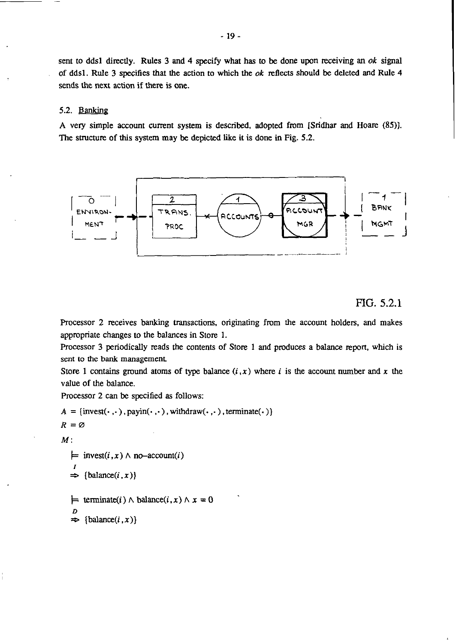sent to dds1 directly. Rules 3 and 4 specify what has to be done upon receiving an  $ok$  signal of dds1. Rule 3 specifies that the action to which the  $ok$  reflects should be deleted and Rule 4 sends the next action if there is one.

### 5.2. Banking

A very simple account current system is described, adopted from [Sridhar and Hoare (85»). The structure of this system may be depicted like it is done in Fig. 5.2.



# FIG. 5.2.1

Processor 2 receives banking transactions, originating from the account holders, and makes appropriate changes to the balances in Store 1.

Processor 3 periodically reads the contents of Store 1 and produces a balance report, which is sent to the bank management

Store 1 contains ground atoms of type balance  $(i, x)$  where i is the account number and x the value of the balance.

Processor 2 can be specified as follows:

$$
A = \{ \text{invest}(\cdot, \cdot), \text{payin}(\cdot, \cdot), \text{with} \text{draw}(\cdot, \cdot), \text{terminate}(\cdot) \}
$$
  

$$
R = \emptyset
$$

*M:* 

```
\models invest(i, x) \land no-account(i)
 I 
\Rightarrow {balance(i, x)}
```
 $\models$  terminate(i)  $\land$  balance(i, x)  $\land$  x = 0 D

 $\Rightarrow$  {balance(*i*, *x*)}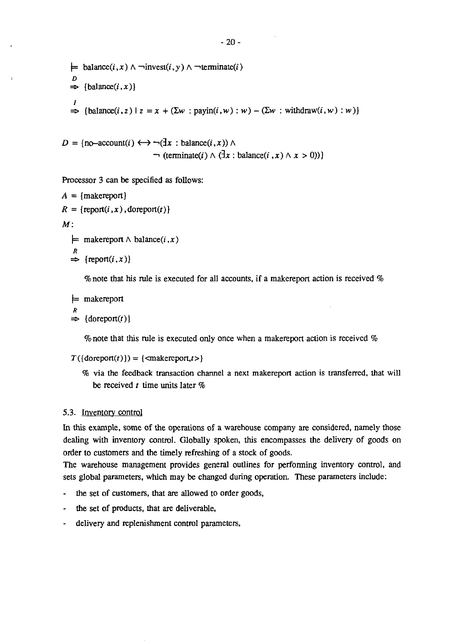```
= balance(i, x) \land \neg \text{invest}(i, \gamma) \land \neg \text{terminate}(i)D 
\Rightarrow {balance(i, x)}
\Rightarrow {balance(i, z) | z = x + (\Sigma w : payin(i, w) : w) - (\Sigma w : withdraw(i, w) : w)}
```

```
D = \{no\text{-}account(i) \longleftrightarrow \neg(\exists x : balance(i, x)) \land \neg(\exists x : balance(i, x))\}\lnot (terminate(i) \land (\exists x : \text{balance}(i, x) \land x > 0))
```
Processor 3 can be specified as follows:

```
A = {makereport}
R = \{report(i, x),&text{doreport}(t)\}M^+\models makereport \land balance(i, x)
   R \Rightarrow {report(i, x)}
```
% note that his rule is executed for all accounts, if a makereport action is received %

```
\models makereport
 R 
\Rightarrow {doreport(t)}
```
% note that this rule is executed only once when a makereport action is received %

```
T({\text{droreport}(t)}) = {\text{makereport}, t>}
```
% via the feedback transaction channel a next makereport action is transferred, that will be received *t* time units later %

### 5.3. Inventory control

In this example, some of the operations of a warehouse company are considered, namely those dealing with inventory control. Globally spoken, this encompasses the delivery of goods on order to customers and the timely refreshing of a stock of goods.

The warehouse management provides general outlines for performing inventory control, and sets global parameters, which may be changed during operation. These parameters include:

- the set of customers, that are allowed to order goods,
- the set of products, that are deliverable,
- delivery and replenishment control parameters,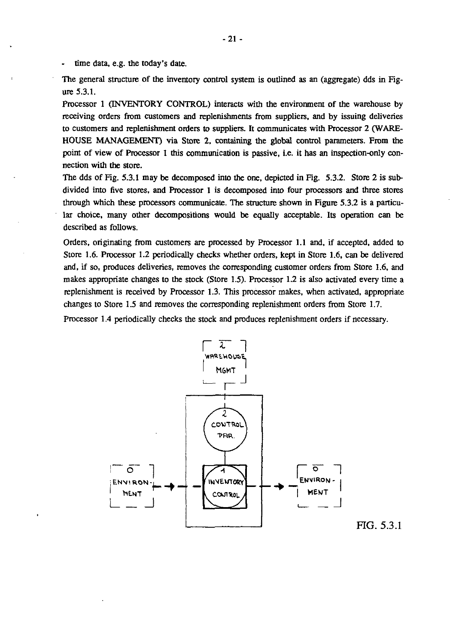time data. e.g. the today's date.

The general structure of the inventory control system is outlined as an (aggregate) dds in Figure 5.3.1.

Processor 1 (INVENTORY CONTROL) interacts with the environment of the warehouse by receiving orders from customers and replenishments from suppliers. and by issuing deliveries to customers and replenishment orders to suppliers. It communicates with Processor 2 (WARE-HOUSE MANAGEMENT) via Store 2. containing the global control parameters. From the point of view of Processor 1 this communication is passive. i.e. it has an inspection-only connection with the store.

The dds of Fig. 5.3.1 may be decomposed into the one, depicted in Fig. 5.3.2. Store 2 is subdivided into five stores. and Processor 1 is decomposed into four processors and three stores through which these processors communicate. The structure shown in Figure 5.3.2 is a particular choice. many other decompositions would be equally acceptable. Its operation can be described as follows.

Orders. originating from customers are processed by Processor 1.1 and. if accepted. added to Store 1.6. Processor 1.2 periodically checks whether orders. kept in Store 1.6. can be delivered and. if so. produces deliveries. removes the corresponding customer orders from Store 1.6. and makes appropriate changes to the stock (Store 1.5). Processor 1.2 is also activated every time a replenishment is received by Processor 1.3. This processor makes, when activated, appropriate changes to Store 1.5 and removes the corresponding replenishment orders from Store 1.7.

Processor 1.4 periodically checks the stock and produces replenishment orders if necessary.



FIG. 5.3.1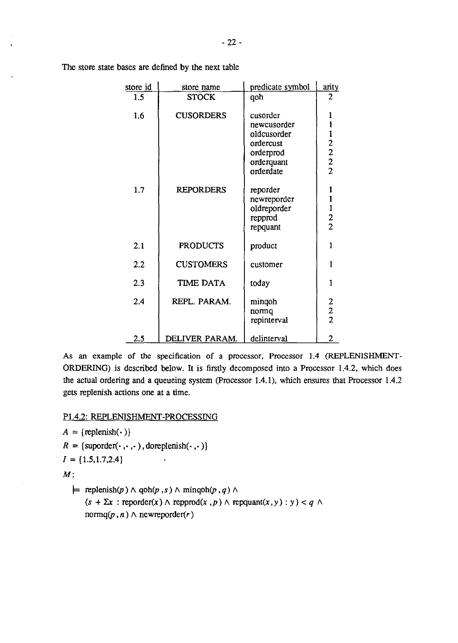| $-22-$ |  |
|--------|--|
|        |  |
|        |  |
|        |  |

| store id | store name       | predicate symbol                                                                            | arity                                            |
|----------|------------------|---------------------------------------------------------------------------------------------|--------------------------------------------------|
| 1.5      | <b>STOCK</b>     | qoh                                                                                         | 2                                                |
| 1.6      | <b>CUSORDERS</b> | cusorder<br>newcusorder<br>oldcusorder<br>ordercust<br>orderprod<br>orderquant<br>orderdate | 1<br>$\mathbf{1}$<br>$\frac{1}{2}$ $\frac{2}{2}$ |
| 1.7      | <b>REPORDERS</b> | reporder<br>newreporder<br>oldreporder<br>repprod<br>repquant                               | 1<br>$\begin{array}{c} 1 \\ 2 \\ 2 \end{array}$  |
| 2.1      | <b>PRODUCTS</b>  | product                                                                                     | 1                                                |
| 2.2      | <b>CUSTOMERS</b> | customer                                                                                    | 1                                                |
| 2.3      | <b>TIME DATA</b> | today                                                                                       | 1                                                |
| 2.4      | REPL. PARAM.     | minqoh<br>normq<br>repinterval                                                              | $\frac{2}{2}$                                    |
| $2.5\,$  | DELIVER PARAM.   | delinterval                                                                                 | 2                                                |

The store state bases are defined by the next table

As an example of the specification of a processor, Processor 1.4 (REPLENISHMENT-ORDERING) is described below. It is firstly decomposed into a Processor 1.4.2, which does the actual ordering and a queueing system (processor 1.4.1), which ensures that Processor 1.4.2 gets replenish actions one at a time.

# P1.4.2: REPLENISHMENT-PROCESSING

```
A = {replenish(\cdot)}R = \{ \text{support}(\cdot, \cdot, \cdot) , \text{dorenienish}(\cdot, \cdot) \}I = \{1.5, 1.7, 2.4\}\ddot{\phantom{0}}
```
*M:* 

 $\models$  replenish(p)  $\land$  qoh(p, s)  $\land$  minqoh(p, q)  $\land$  $(s + \Sigma x : \text{reporter}(x) \land \text{reporter}(x, p) \land \text{repquant}(x, y) : y) < q \land$  $normq(p, n) \wedge newreporter(r)$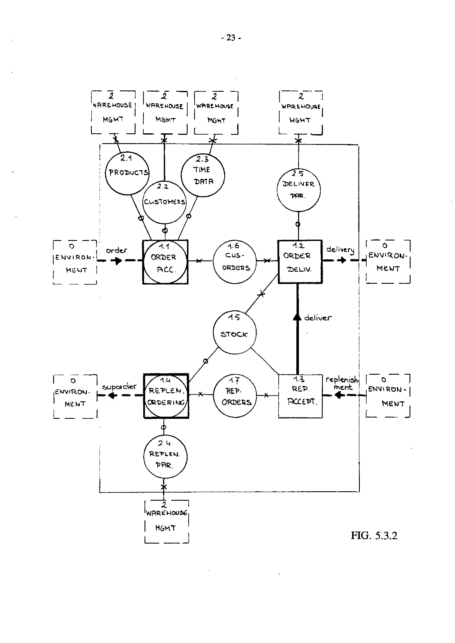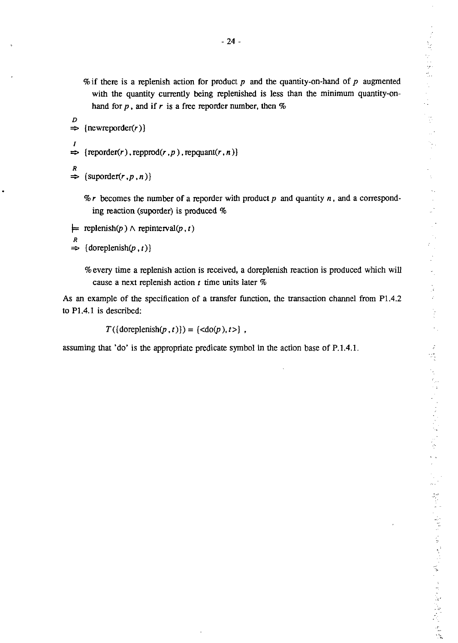医心室 医心室 Ì.  $\mathbb{R}^2$  $\mathbb{A}^{\mathbb{R}}$  $\mathbb{R}^*$ 网络人名 人名英格兰人姓氏博尔的变体 人名英格兰人姓氏格尔德的变体

% if there is a replenish action for product *p* and the quantity-on-hand of *p* augmented with the quantity currently being replenished is less than the minimum quantity-onhand for  $p$ , and if  $r$  is a free reporder number, then  $%$ 

```
D 
\Rightarrow {newreporder(r)}
I 
\Rightarrow {reporder(r), repprod(r, p), repquant(r, n)}
```
 $R \Rightarrow$  {suporder(*r*, *p*, *n*)}

% *r* becomes the number of a reporder with product p and quantity *n,* and a corresponding reaction (suporder) is produced %

```
= replenish(p) \land repinterval(p, t)
```

```
R 
\Rightarrow {doreplenish(p, t)}
```
% every time a replenish action is received, a doreplenish reaction is produced which will cause a next replenish action *t* time units later %

As an example of the specification of a transfer function, the transaction channel from P1.4.2 to PI.4.1 is described:

 $T({\text{dorenienish}(p, t)}) = {\text{cdo}(p), t>}$ ,

assuming that 'do' is the appropriate predicate symbol in the action base of  $P.1.4.1$ .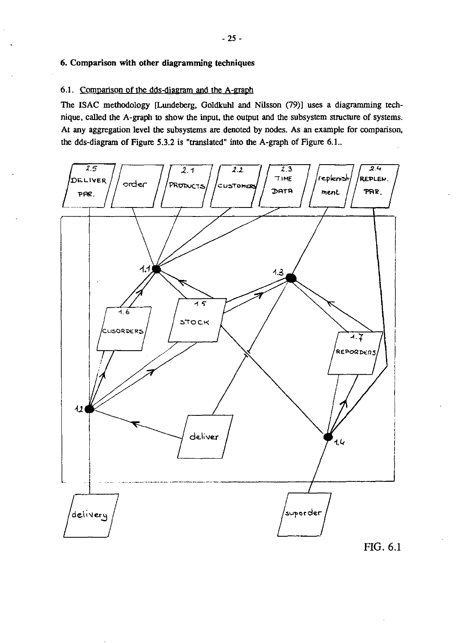# 6. Comparison with other diagramming techniques

### 6.1. Comparison of the dds-diagram and the A-graph

The ISAC methodology [Lundeberg, Goldkuhl and Nilsson (79)] uses a diagramming technique, called the A-graph to show the input, the output and the subsystem structure of systems. At any aggregation level the subsystems are denoted by nodes. As an example for comparison, the dds-diagram of Figure 5.3.2 is "translated" into the A-graph of Figure 6.1..

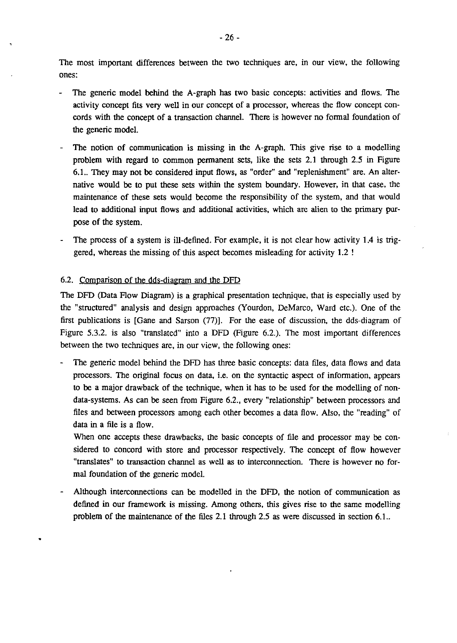The most important differences between the two techniques are, in our view, the following ones:

- The generic model behind the A-graph has two basic concepts: activities and flows. The activity concept fits very well in our concept of a processor, whereas the flow concept concords with the concept of a transaction channel. There is however no fonnal foundation of the generic model.
- The notion of communication is missing in the A-graph. This give rise to a modelling problem with regard to common pennanent sets, like the sets 2.1 through 2.5 in Figure 6.1.. They may not be considered input flows, as "order" and "replenishment" are. An alternative would be to put these sets within the system boundary. However, in that case, the maintenance of these sets would become the responsibility of the system, and that would lead to additional input flows and additional activities, which are alien to the primary purpose of the system.
- The process of a system is ill-defined. For example, it is not clear how activity **1.4** is triggered, whereas the missing of this aspect becomes misleading for activity 1.2 !

# 6.2. Comparison of the ddS-diagram and the DFD

•

The DFD (Data Flow Diagram) is a graphical presentation technique, that is especially used by the "structured" analysis and design approaches (Yourdon, DeMarco, Ward etc.). One of the first publications is  $[Game and Sarson (77)]$ . For the ease of discussion, the dds-diagram of Figure 5.3.2. is also "translated" into a DFD (Figure 6.2.). The most important differences between the two techniques are, in our view, the following ones:

The generic model behind the DFD has three basic concepts: data files, data flows and data processors. The original focus on data, i.e. on the syntactic aspect of infonnation, appears to be a major drawback of the technique, when it has to be used for the modelling of nondata-systems. As can be seen from Figure 6.2., every "relationship" between processors and files and between processors among each other becomes a data flow. Also, the "reading" of data in a file is a flow.

When one accepts these drawbacks, the basic concepts of file and processor may be considered to concord with store and processor respectively. The concept of flow however "translates" to transaction channel as well as to interconnection. There is however no formal foundation of the generic model.

Although interconnections can be modelled in the DFD, the notion of communication as defined in our framework is missing. Among others, this gives rise to the same modelling problem of the maintenance of the files 2.1 through 2.5 as were discussed in section 6.1..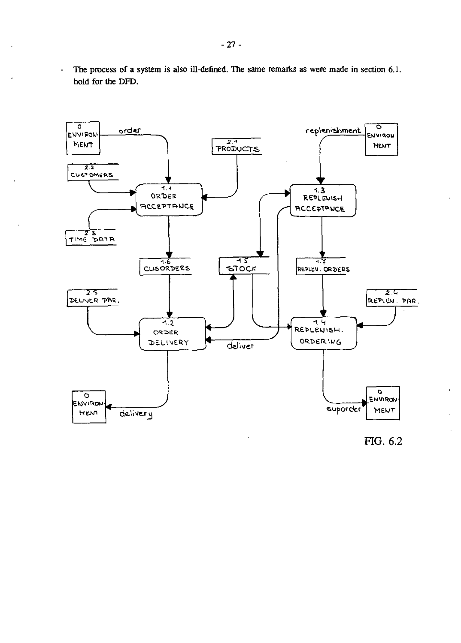The process of a system is also ill-defined. The same remarks as were made in section 6.1.  $\Box$ hold for the DFD.



FIG. 6.2

 $\lambda$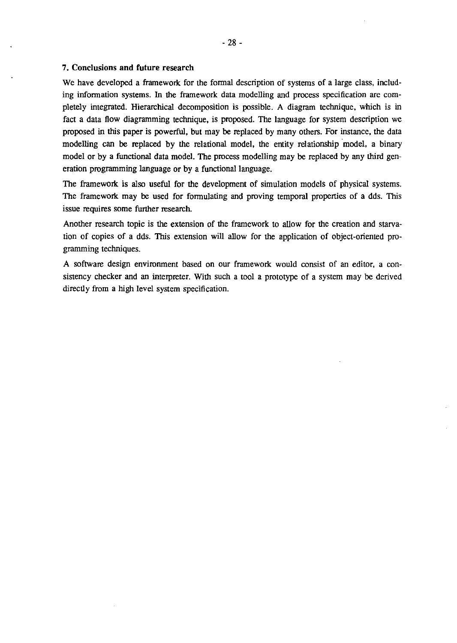### 7. **Conclusions and future research**

We have developed a framework for the formal description of systems of a large class, including infonnation systems. In the framework data modelling and process specification are completely integrated. Hierarchical decomposition is possible. A diagram technique. which is in fact a data flow diagramming technique. is proposed. The language for system description we proposed in this paper is powerful. but may be replaced by many others. For instance. the data modelling can be replaced by the relational model. the entity relationship model. a binary model or by a functional data model. The process modelling may be replaced by any third generation programming language or by a functional language.

The framework is also useful for the development of simulation models of physical systems. The framework may be used for fonnulating and proving temporal properties of a dds. This issue requires some further research.

Another research topic is the extension of the framework to allow for the creation and starvation of copies of a dds. This extension will allow for the application of object-oriented programming techniques.

A sofrware design environment based on our framework would consist of an editor. a consistency checker and an interpreter. With such a tool a prototype of a system may be derived directly from a high level system specification.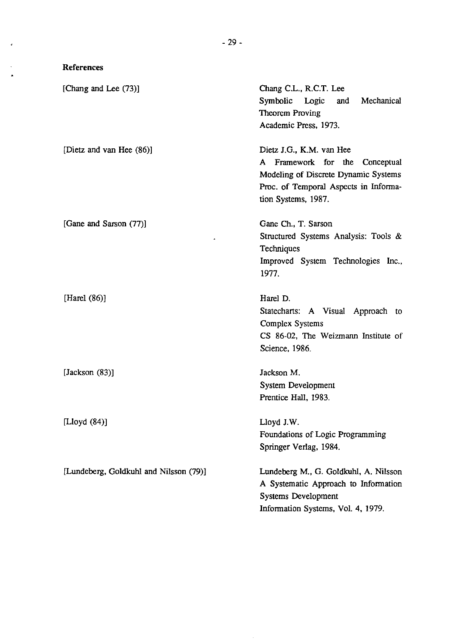# References

 $\epsilon$ 

 $\bar{\mathcal{A}}$  $\hat{\mathbf{A}}$ 

| [Chang and Lee (73)]                           | Chang C.L., R.C.T. Lee<br>Mechanical<br>Symbolic Logic<br>and<br>Theorem Proving<br>Academic Press, 1973.                                                          |
|------------------------------------------------|--------------------------------------------------------------------------------------------------------------------------------------------------------------------|
| [Dietz and van Hee (86)]                       | Dietz J.G., K.M. van Hee<br>A Framework for the Conceptual<br>Modeling of Discrete Dynamic Systems<br>Proc. of Temporal Aspects in Informa-<br>tion Systems, 1987. |
| [Gane and Sarson (77)]<br>$\ddot{\phantom{1}}$ | Gane Ch., T. Sarson<br>Structured Systems Analysis: Tools &<br>Techniques<br>Improved System Technologies Inc.,<br>1977.                                           |
| [Harel $(86)$ ]                                | Harel D.<br>Statecharts: A Visual Approach to<br>Complex Systems<br>CS 86-02, The Weizmann Institute of<br>Science, 1986.                                          |
| [Jackson $(83)$ ]                              | Jackson M.<br>System Development<br>Prentice Hall, 1983.                                                                                                           |
| [Lloyd $(84)$ ]                                | Lloyd J.W.<br>Foundations of Logic Programming<br>Springer Verlag, 1984.                                                                                           |
| [Lundeberg, Goldkuhl and Nilsson (79)]         | Lundeberg M., G. Goldkuhl, A. Nilsson<br>A Systematic Approach to Information<br><b>Systems Development</b><br>Information Systems, Vol. 4, 1979.                  |

 $\sim$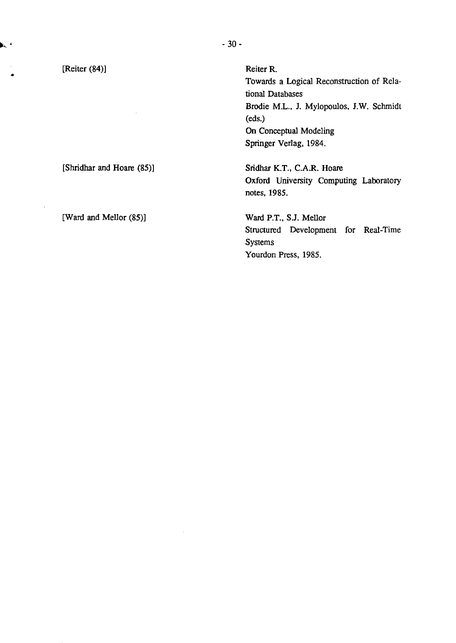[Reiter (84)]

•

r.

Reiter R. Towards a Logical Reconstruction of Relational Databases Brodie M.L., J. Mylopoulos, J.W. Schmidt (eds.) On Conceptual Modeling Springer Verlag, 1984.

Sridhar K.T., C.A.R. Hoare Oxford University Computing Laboratory notes, 1985.

Ward P.T., S.J. Mellor Structured Development for Real-Time Systems Yourdon Press, 1985.

[Shridhar and Hoare (85)]

[Ward and Mellor (85)]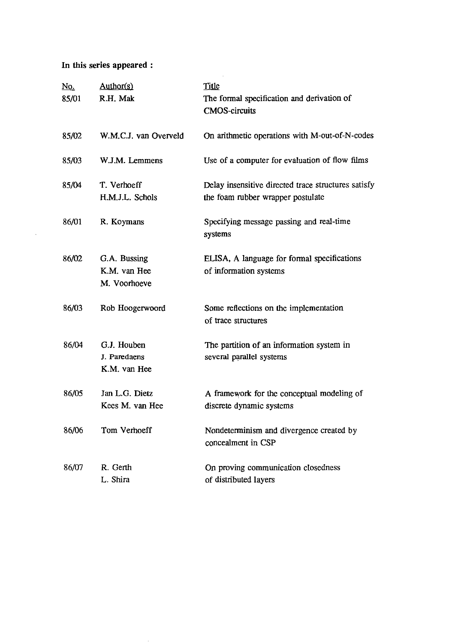# **In** this series appeared :

| <u>No.</u><br>85/01 | Author(s)<br>R.H. Mak                        | Title<br>The formal specification and derivation of<br><b>CMOS-circuits</b>              |
|---------------------|----------------------------------------------|------------------------------------------------------------------------------------------|
| 85/02               | W.M.C.J. van Overveld                        | On arithmetic operations with M-out-of-N-codes                                           |
| 85/03               | W.J.M. Lemmens                               | Use of a computer for evaluation of flow films                                           |
| 85/04               | T. Verhoeff<br>H.M.J.L. Schols               | Delay insensitive directed trace structures satisfy<br>the foam rubber wrapper postulate |
| 86/01               | R. Koymans                                   | Specifying message passing and real-time<br>systems                                      |
| 86/02               | G.A. Bussing<br>K.M. van Hee<br>M. Voorhoeve | ELISA, A language for formal specifications<br>of information systems                    |
| 86/03               | Rob Hoogerwoord                              | Some reflections on the implementation<br>of trace structures                            |
| 86/04               | G.J. Houben<br>J. Paredaens<br>K.M. van Hee  | The partition of an information system in<br>several parallel systems                    |
| 86/05               | Jan L.G. Dietz<br>Kees M. van Hee            | A framework for the conceptual modeling of<br>discrete dynamic systems                   |
| 86/06               | Tom Verhoeff                                 | Nondeterminism and divergence created by<br>concealment in CSP                           |
| 86/07               | R. Gerth<br>L. Shira                         | On proving communication closedness<br>of distributed layers                             |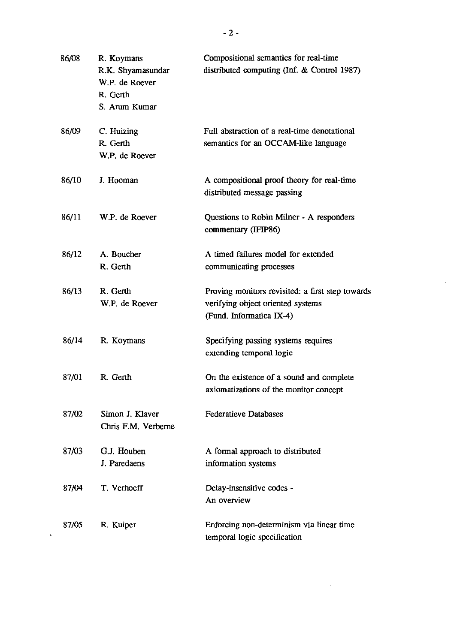| 86/08 | R. Koymans<br>R.K. Shyamasundar<br>W.P. de Roever<br>R. Gerth<br>S. Arum Kumar | Compositional semantics for real-time<br>distributed computing (Inf. & Control 1987)                              |
|-------|--------------------------------------------------------------------------------|-------------------------------------------------------------------------------------------------------------------|
| 86/09 | C. Huizing<br>R. Gerth<br>W.P. de Roever                                       | Full abstraction of a real-time denotational<br>semantics for an OCCAM-like language                              |
| 86/10 | J. Hooman                                                                      | A compositional proof theory for real-time<br>distributed message passing                                         |
| 86/11 | W.P. de Roever                                                                 | Questions to Robin Milner - A responders<br>commentary (IFIP86)                                                   |
| 86/12 | A. Boucher<br>R. Gerth                                                         | A timed failures model for extended<br>communicating processes                                                    |
| 86/13 | R. Gerth<br>W.P. de Roever                                                     | Proving monitors revisited: a first step towards<br>verifying object oriented systems<br>(Fund. Informatica IX-4) |
| 86/14 | R. Koymans                                                                     | Specifying passing systems requires<br>extending temporal logic                                                   |
| 87/01 | R. Gerth                                                                       | On the existence of a sound and complete<br>axiomatizations of the monitor concept                                |
| 87/02 | Simon J. Klaver<br>Chris F.M. Verberne                                         | <b>Federatieve Databases</b>                                                                                      |
| 87/03 | G.J. Houben<br>J. Paredaens                                                    | A formal approach to distributed<br>information systems                                                           |
| 87/04 | T. Verhoeff                                                                    | Delay-insensitive codes -<br>An overview                                                                          |
| 87/05 | R. Kuiper                                                                      | Enforcing non-determinism via linear time<br>temporal logic specification                                         |

 $\mathcal{L}^{\text{max}}_{\text{max}}$  , where  $\mathcal{L}^{\text{max}}_{\text{max}}$ 

 $\mathcal{L}_{\text{max}}$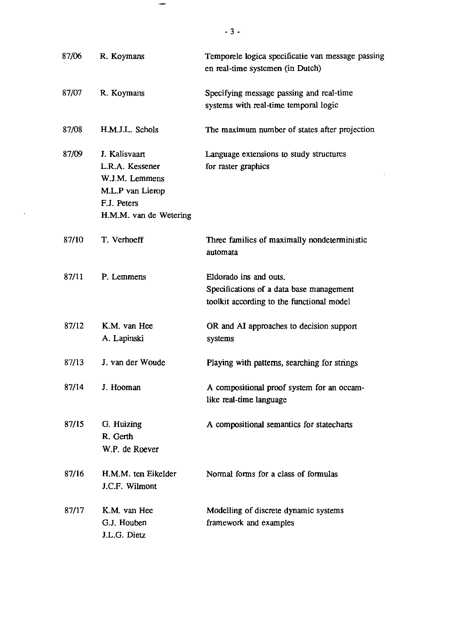| 87/06 | R. Koymans                                                                                                      | Temporele logica specificatie van message passing<br>en real-time systemen (in Dutch)                           |
|-------|-----------------------------------------------------------------------------------------------------------------|-----------------------------------------------------------------------------------------------------------------|
| 87/07 | R. Koymans                                                                                                      | Specifying message passing and real-time<br>systems with real-time temporal logic                               |
| 87/08 | H.M.J.L. Schols                                                                                                 | The maximum number of states after projection                                                                   |
| 87/09 | J. Kalisvaart<br>L.R.A. Kessener<br>W.J.M. Lemmens<br>M.L.P van Lierop<br>F.J. Peters<br>H.M.M. van de Wetering | Language extensions to study structures<br>for raster graphics                                                  |
| 87/10 | T. Verhoeff                                                                                                     | Three families of maximally nondeterministic<br>automata                                                        |
| 87/11 | P. Lemmens                                                                                                      | Eldorado ins and outs.<br>Specifications of a data base management<br>toolkit according to the functional model |
| 87/12 | K.M. van Hee<br>A. Lapinski                                                                                     | OR and AI approaches to decision support<br>systems                                                             |
| 87/13 | J. van der Woude                                                                                                | Playing with patterns, searching for strings                                                                    |
| 87/14 | J. Hooman                                                                                                       | A compositional proof system for an occam-<br>like real-time language                                           |
| 87/15 | G. Huizing<br>R. Gerth<br>W.P. de Roever                                                                        | A compositional semantics for statecharts                                                                       |
| 87/16 | H.M.M. ten Eikelder<br>J.C.F. Wilmont                                                                           | Normal forms for a class of formulas                                                                            |
| 87/17 | K.M. van Hee<br>G.J. Houben<br>J.L.G. Dietz                                                                     | Modelling of discrete dynamic systems<br>framework and examples                                                 |

774-7

 $\sim 10^{-11}$